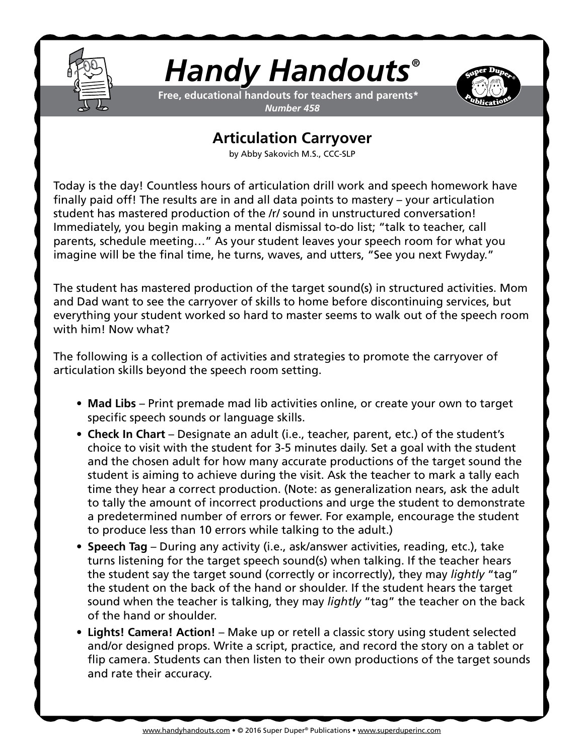

## *Handy Handouts®*

**Free, educational handouts for teachers and parents\*** *Number 458*



## **Articulation Carryover**

by Abby Sakovich M.S., CCC-SLP

Today is the day! Countless hours of articulation drill work and speech homework have finally paid off! The results are in and all data points to mastery – your articulation student has mastered production of the /r/ sound in unstructured conversation! Immediately, you begin making a mental dismissal to-do list; "talk to teacher, call parents, schedule meeting…" As your student leaves your speech room for what you imagine will be the final time, he turns, waves, and utters, "See you next Fwyday."

The student has mastered production of the target sound(s) in structured activities. Mom and Dad want to see the carryover of skills to home before discontinuing services, but everything your student worked so hard to master seems to walk out of the speech room with him! Now what?

The following is a collection of activities and strategies to promote the carryover of articulation skills beyond the speech room setting.

- **• Mad Libs** Print premade mad lib activities online, or create your own to target specific speech sounds or language skills.
- **• Check In Chart** Designate an adult (i.e., teacher, parent, etc.) of the student's choice to visit with the student for 3-5 minutes daily. Set a goal with the student and the chosen adult for how many accurate productions of the target sound the student is aiming to achieve during the visit. Ask the teacher to mark a tally each time they hear a correct production. (Note: as generalization nears, ask the adult to tally the amount of incorrect productions and urge the student to demonstrate a predetermined number of errors or fewer. For example, encourage the student to produce less than 10 errors while talking to the adult.)
- **• Speech Tag** During any activity (i.e., ask/answer activities, reading, etc.), take turns listening for the target speech sound(s) when talking. If the teacher hears the student say the target sound (correctly or incorrectly), they may *lightly* "tag" the student on the back of the hand or shoulder. If the student hears the target sound when the teacher is talking, they may *lightly* "tag" the teacher on the back of the hand or shoulder.
- **• Lights! Camera! Action!** Make up or retell a classic story using student selected and/or designed props. Write a script, practice, and record the story on a tablet or flip camera. Students can then listen to their own productions of the target sounds and rate their accuracy.